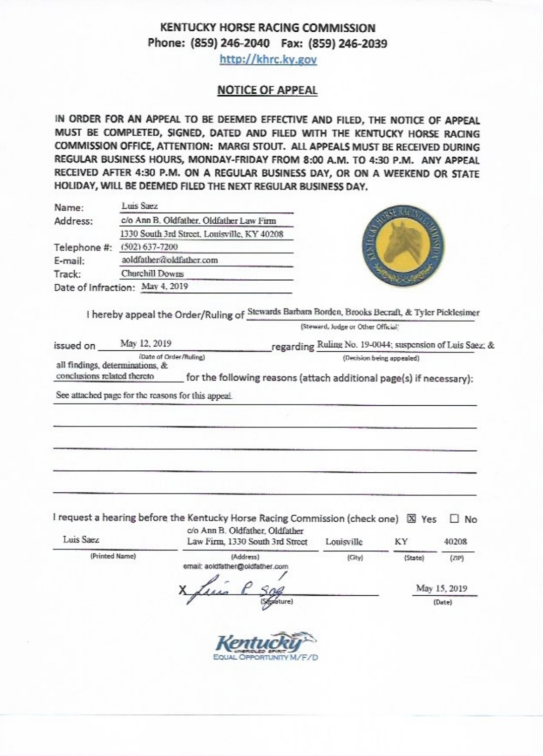# **KENTUCKY HORSE RACING COMMISSION** Phone: (859) 246-2040 Fax: (859) 246-2039

http://khrc.ky.gov

#### **NOTICE OF APPEAL**

IN ORDER FOR AN APPEAL TO BE DEEMED EFFECTIVE AND FILED, THE NOTICE OF APPEAL MUST BE COMPLETED, SIGNED, DATED AND FILED WITH THE KENTUCKY HORSE RACING COMMISSION OFFICE. ATTENTION: MARGI STOUT. ALL APPEALS MUST BE RECEIVED DURING REGULAR BUSINESS HOURS, MONDAY-FRIDAY FROM 8:00 A.M. TO 4:30 P.M. ANY APPEAL RECEIVED AFTER 4:30 P.M. ON A REGULAR BUSINESS DAY, OR ON A WEEKEND OR STATE HOLIDAY, WILL BE DEEMED FILED THE NEXT REGULAR BUSINESS DAY.

| Name:        | Luis Saez                                   |              |
|--------------|---------------------------------------------|--------------|
| Address:     | c/o Ann B. Oldfather. Oldfather Law Firm    |              |
|              | 1330 South 3rd Street, Louisville, KY 40208 |              |
| Telephone #: | (502) 637-7200                              | <b>ANTIC</b> |
| E-mail:      | aoldfather@oldfather.com                    |              |
| Track:       | Churchill Downs                             |              |
|              | Date of Infraction: May 4, 2019             |              |
|              |                                             |              |

I hereby appeal the Order/Ruling of Stewards Barbara Borden, Brooks Becraft, & Tyler Picklesimer

(Steward, Judge or Other Official)

| issued on                   | May 12, 2019                                              | regarding Ruling No. 19-0044; suspension of Luis Saez; &            |
|-----------------------------|-----------------------------------------------------------|---------------------------------------------------------------------|
|                             | (Date of Order/Ruline)<br>all findings, determinations, & | (Decision being appealed)                                           |
| conclusions related thereto |                                                           | for the following reasons (attach additional page(s) if necessary): |

See attached page for the reasons for this appeal.

I request a hearing before the Kentucky Horse Racing Commission (check one) X Yes  $\Box$  No

| Luis Saez      | c/o Ann B. Oldfather, Oldfather<br>Law Firm, 1330 South 3rd Street | Louisville | KY           | 40208  |
|----------------|--------------------------------------------------------------------|------------|--------------|--------|
| (Printed Name) | (Address)<br>email: aoidfather@oldfather.com                       | (City)     | (State)      | (ZIP)  |
|                | Sne<br><b>SEAD</b>                                                 |            | May 15, 2019 |        |
|                | (Signature)                                                        |            |              | (Date) |

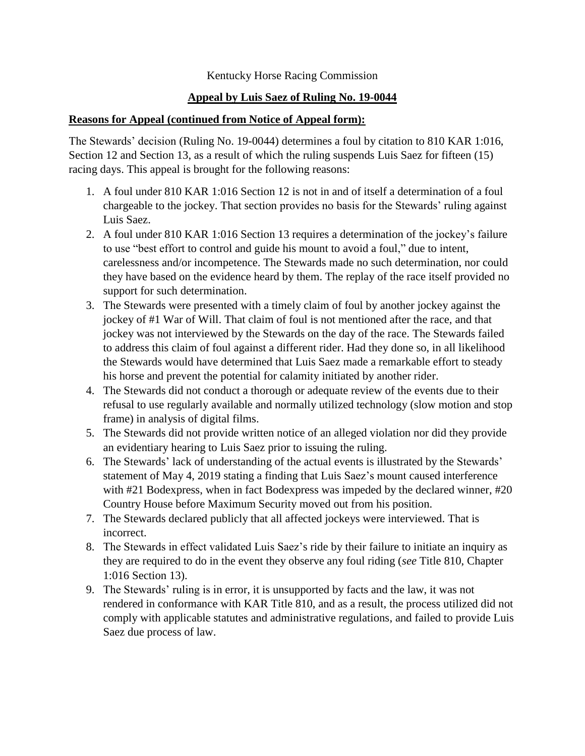## Kentucky Horse Racing Commission

# **Appeal by Luis Saez of Ruling No. 19-0044**

### **Reasons for Appeal (continued from Notice of Appeal form):**

The Stewards' decision (Ruling No. 19-0044) determines a foul by citation to 810 KAR 1:016, Section 12 and Section 13, as a result of which the ruling suspends Luis Saez for fifteen (15) racing days. This appeal is brought for the following reasons:

- 1. A foul under 810 KAR 1:016 Section 12 is not in and of itself a determination of a foul chargeable to the jockey. That section provides no basis for the Stewards' ruling against Luis Saez.
- 2. A foul under 810 KAR 1:016 Section 13 requires a determination of the jockey's failure to use "best effort to control and guide his mount to avoid a foul," due to intent, carelessness and/or incompetence. The Stewards made no such determination, nor could they have based on the evidence heard by them. The replay of the race itself provided no support for such determination.
- 3. The Stewards were presented with a timely claim of foul by another jockey against the jockey of #1 War of Will. That claim of foul is not mentioned after the race, and that jockey was not interviewed by the Stewards on the day of the race. The Stewards failed to address this claim of foul against a different rider. Had they done so, in all likelihood the Stewards would have determined that Luis Saez made a remarkable effort to steady his horse and prevent the potential for calamity initiated by another rider.
- 4. The Stewards did not conduct a thorough or adequate review of the events due to their refusal to use regularly available and normally utilized technology (slow motion and stop frame) in analysis of digital films.
- 5. The Stewards did not provide written notice of an alleged violation nor did they provide an evidentiary hearing to Luis Saez prior to issuing the ruling.
- 6. The Stewards' lack of understanding of the actual events is illustrated by the Stewards' statement of May 4, 2019 stating a finding that Luis Saez's mount caused interference with #21 Bodexpress, when in fact Bodexpress was impeded by the declared winner, #20 Country House before Maximum Security moved out from his position.
- 7. The Stewards declared publicly that all affected jockeys were interviewed. That is incorrect.
- 8. The Stewards in effect validated Luis Saez's ride by their failure to initiate an inquiry as they are required to do in the event they observe any foul riding (*see* Title 810, Chapter 1:016 Section 13).
- 9. The Stewards' ruling is in error, it is unsupported by facts and the law, it was not rendered in conformance with KAR Title 810, and as a result, the process utilized did not comply with applicable statutes and administrative regulations, and failed to provide Luis Saez due process of law.